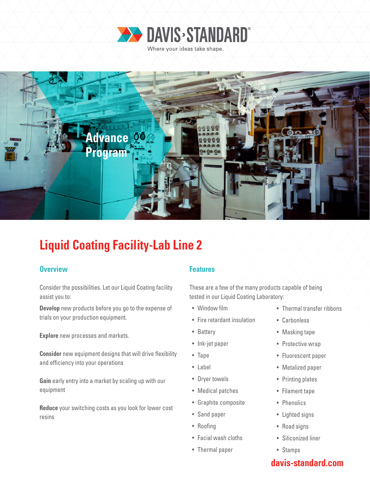



## **Liquid Coating Facility-Lab Line 2**

### **Overview Allen Accepted Accepted Accepted Accepted Accepted Accepted Accepted Accepted Accepted Accepted Accepted**

Consider the possibilities. Let our Liquid Coating facility assist you to:

**Develop** new products before you go to the expense of trials on your production equipment.

**Explore** new processes and markets.

**Consider** new equipment designs that will drive flexibility and efficiency into your operations

**Gain** early entry into a market by scaling up with our equipment

**Reduce** your switching costs as you look for lower cost resins

These are a few of the many products capable of being tested in our Liquid Coating Laboratory:

- Window film
- Fire retardant insulation
- Battery
- Ink-jet paper
- Tape
- Label
- Dryer towels
- Medical patches
- Graphite composite
- Sand paper
- Roofing
- Facial wash cloths
- Thermal paper
- Thermal transfer ribbons
- Carbonless
- Masking tape
- Protective wrap
- Fluorescent paper
- Metalized paper
- Printing plates
- Filament tape
- Phenolics
- Lighted signs
- Road signs
- Siliconized liner
- Stamps

### **davis-standard.com**